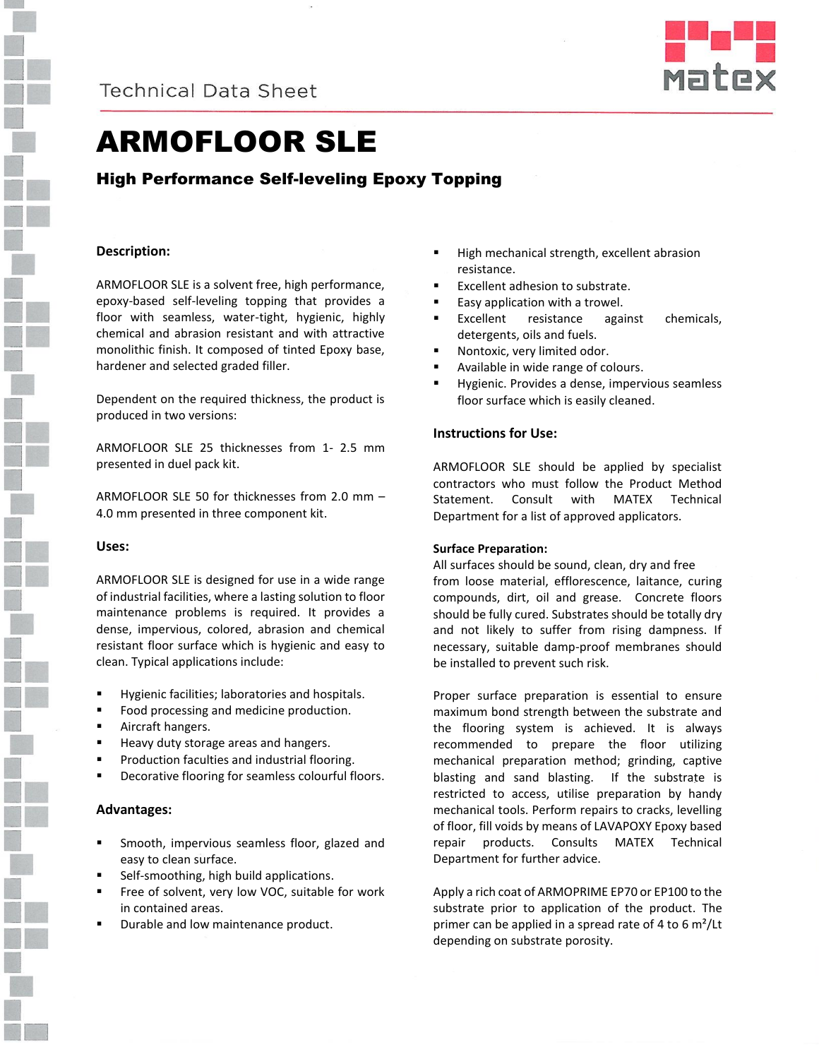



# ARMOFLOOR SLE

# High Performance Self-leveling Epoxy Topping

# **Description:**

ARMOFLOOR SLE is a solvent free, high performance, epoxy-based self-leveling topping that provides a floor with seamless, water-tight, hygienic, highly chemical and abrasion resistant and with attractive monolithic finish. It composed of tinted Epoxy base, hardener and selected graded filler.

Dependent on the required thickness, the product is produced in two versions:

ARMOFLOOR SLE 25 thicknesses from 1- 2.5 mm presented in duel pack kit.

ARMOFLOOR SLE 50 for thicknesses from 2.0 mm – 4.0 mm presented in three component kit.

#### **Uses:**

ARMOFLOOR SLE is designed for use in a wide range of industrial facilities, where a lasting solution to floor maintenance problems is required. It provides a dense, impervious, colored, abrasion and chemical resistant floor surface which is hygienic and easy to clean. Typical applications include:

- Hygienic facilities; laboratories and hospitals.
- Food processing and medicine production.
- **Aircraft hangers.**
- **Heavy duty storage areas and hangers.**
- Production faculties and industrial flooring.
- Decorative flooring for seamless colourful floors.

### **Advantages:**

- Smooth, impervious seamless floor, glazed and easy to clean surface.
- Self-smoothing, high build applications.
- **Fig. 2** Free of solvent, very low VOC, suitable for work in contained areas.
- Durable and low maintenance product.
- High mechanical strength, excellent abrasion resistance.
- Excellent adhesion to substrate.
- **Easy application with a trowel.**
- Excellent resistance against chemicals, detergents, oils and fuels.
- Nontoxic, very limited odor.
- Available in wide range of colours.
- Hygienic. Provides a dense, impervious seamless floor surface which is easily cleaned.

# **Instructions for Use:**

ARMOFLOOR SLE should be applied by specialist contractors who must follow the Product Method Statement. Consult with MATEX Technical Department for a list of approved applicators.

#### **Surface Preparation:**

All surfaces should be sound, clean, dry and free from loose material, efflorescence, laitance, curing compounds, dirt, oil and grease. Concrete floors should be fully cured. Substrates should be totally dry and not likely to suffer from rising dampness. If necessary, suitable damp-proof membranes should be installed to prevent such risk.

Proper surface preparation is essential to ensure maximum bond strength between the substrate and the flooring system is achieved. It is always recommended to prepare the floor utilizing mechanical preparation method; grinding, captive blasting and sand blasting. If the substrate is restricted to access, utilise preparation by handy mechanical tools. Perform repairs to cracks, levelling of floor, fill voids by means of LAVAPOXY Epoxy based repair products. Consults MATEX Technical Department for further advice.

Apply a rich coat of ARMOPRIME EP70 or EP100 to the substrate prior to application of the product. The primer can be applied in a spread rate of 4 to 6 m²/Lt depending on substrate porosity.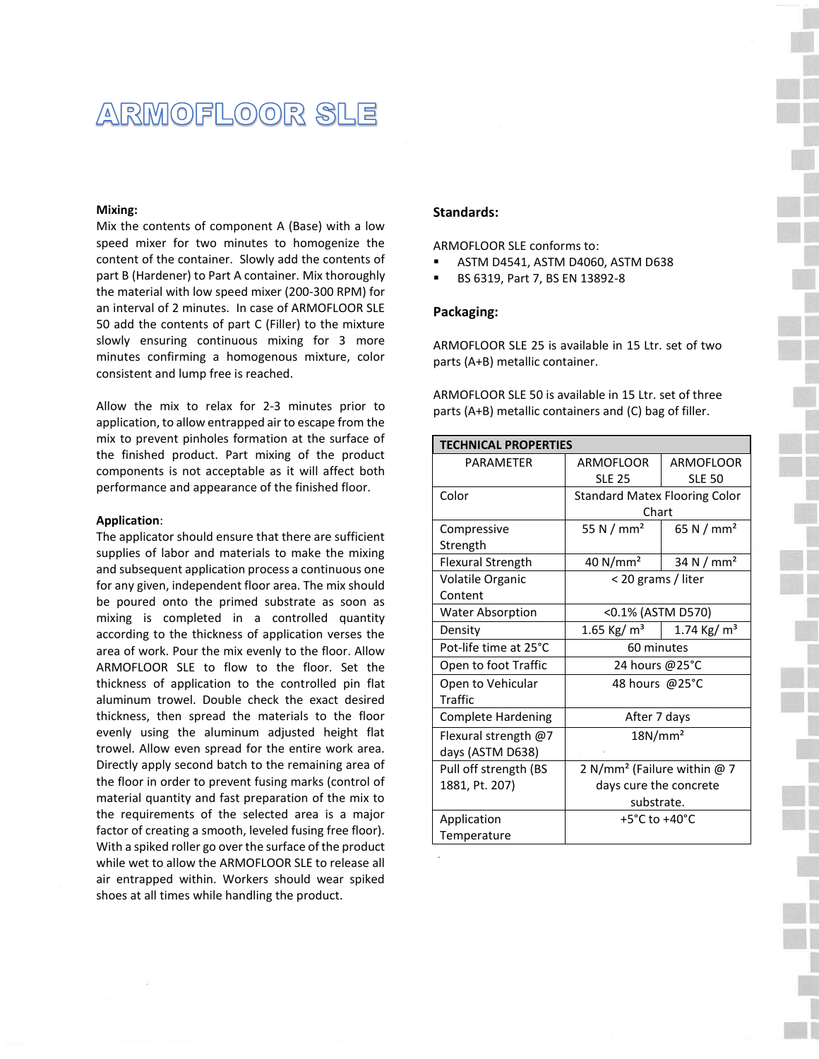# ARMOFLOOR SLE

#### **Mixing:**

Mix the contents of component A (Base) with a low speed mixer for two minutes to homogenize the content of the container. Slowly add the contents of part B (Hardener) to Part A container. Mix thoroughly the material with low speed mixer (200-300 RPM) for an interval of 2 minutes. In case of ARMOFLOOR SLE 50 add the contents of part C (Filler) to the mixture slowly ensuring continuous mixing for 3 more minutes confirming a homogenous mixture, color consistent and lump free is reached.

Allow the mix to relax for 2-3 minutes prior to application, to allow entrapped air to escape from the mix to prevent pinholes formation at the surface of the finished product. Part mixing of the product components is not acceptable as it will affect both performance and appearance of the finished floor.

#### **Application**:

The applicator should ensure that there are sufficient supplies of labor and materials to make the mixing and subsequent application process a continuous one for any given, independent floor area. The mix should be poured onto the primed substrate as soon as mixing is completed in a controlled quantity according to the thickness of application verses the area of work. Pour the mix evenly to the floor. Allow ARMOFLOOR SLE to flow to the floor. Set the thickness of application to the controlled pin flat aluminum trowel. Double check the exact desired thickness, then spread the materials to the floor evenly using the aluminum adjusted height flat trowel. Allow even spread for the entire work area. Directly apply second batch to the remaining area of the floor in order to prevent fusing marks (control of material quantity and fast preparation of the mix to the requirements of the selected area is a major factor of creating a smooth, leveled fusing free floor). With a spiked roller go over the surface of the product while wet to allow the ARMOFLOOR SLE to release all air entrapped within. Workers should wear spiked shoes at all times while handling the product.

#### **Standards:**

ARMOFLOOR SLE conforms to:

- ASTM D4541, ASTM D4060, ASTM D638
- BS 6319, Part 7, BS EN 13892-8

#### **Packaging:**

ARMOFLOOR SLE 25 is available in 15 Ltr. set of two parts (A+B) metallic container.

| ARMOFLOOR SLE 50 is available in 15 Ltr. set of three  |
|--------------------------------------------------------|
| parts (A+B) metallic containers and (C) bag of filler. |

| <b>TECHNICAL PROPERTIES</b> |                                          |                          |  |
|-----------------------------|------------------------------------------|--------------------------|--|
| <b>PARAMFTFR</b>            | ARMOFLOOR                                | ARMOFLOOR                |  |
|                             | <b>SLE 25</b>                            | <b>SLE 50</b>            |  |
| Color                       | <b>Standard Matex Flooring Color</b>     |                          |  |
|                             | Chart                                    |                          |  |
| Compressive                 | 55 N $/$ mm <sup>2</sup>                 | 65 N / $mm2$             |  |
| Strength                    |                                          |                          |  |
| <b>Flexural Strength</b>    | 40 $N/mm2$                               | 34 N $/$ mm <sup>2</sup> |  |
| Volatile Organic            | < 20 grams / liter                       |                          |  |
| Content                     |                                          |                          |  |
| <b>Water Absorption</b>     | <0.1% (ASTM D570)                        |                          |  |
| Density                     | 1.65 Kg/ $m3$                            | 1.74 Kg/ $m3$            |  |
| Pot-life time at 25°C       | 60 minutes                               |                          |  |
| Open to foot Traffic        | 24 hours @25°C                           |                          |  |
| Open to Vehicular           | 48 hours @25°C                           |                          |  |
| <b>Traffic</b>              |                                          |                          |  |
| <b>Complete Hardening</b>   | After 7 days                             |                          |  |
| Flexural strength @7        | 18N/mm <sup>2</sup>                      |                          |  |
| days (ASTM D638)            |                                          |                          |  |
| Pull off strength (BS       | 2 N/mm <sup>2</sup> (Failure within $@7$ |                          |  |
| 1881, Pt. 207)              | days cure the concrete                   |                          |  |
|                             | substrate.                               |                          |  |
| Application                 | $+5^{\circ}$ C to $+40^{\circ}$ C        |                          |  |
| Temperature                 |                                          |                          |  |